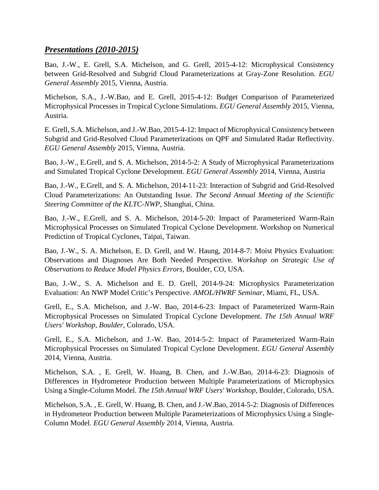## *Presentations (2010-2015)*

Bao, J.-W., E. Grell, S.A. Michelson, and G. Grell, 2015-4-12: Microphysical Consistency between Grid-Resolved and Subgrid Cloud Parameterizations at Gray-Zone Resolution. *EGU General Assembly* 2015, Vienna, Austria.

Michelson, S.A., J.-W.Bao, and E. Grell, 2015-4-12: Budget Comparison of Parameterized Microphysical Processes in Tropical Cyclone Simulations. *EGU General Assembly* 2015, Vienna, Austria.

E. Grell, S.A. Michelson, and J.-W.Bao, 2015-4-12: Impact of Microphysical Consistency between Subgrid and Grid-Resolved Cloud Parameterizations on QPF and Simulated Radar Reflectivity. *EGU General Assembly* 2015, Vienna, Austria.

Bao, J.-W., E.Grell, and S. A. Michelson, 2014-5-2: A Study of Microphysical Parameterizations and Simulated Tropical Cyclone Development. *EGU General Assembly* 2014, Vienna, Austria

Bao, J.-W., E.Grell, and S. A. Michelson, 2014-11-23: Interaction of Subgrid and Grid-Resolved Cloud Parameterizations: An Outstanding Issue. *The Second Annual Meeting of the Scientific Steering Committee of the KLTC-NWP*, Shanghai, China.

Bao, J.-W., E.Grell, and S. A. Michelson, 2014-5-20: Impact of Parameterized Warm-Rain Microphysical Processes on Simulated Tropical Cyclone Development. Workshop on Numerical Prediction of Tropical Cyclones, Taipai, Taiwan.

Bao, J.-W., S. A. Michelson, E. D. Grell, and W. Haung, 2014-8-7: Moist Physics Evaluation: Observations and Diagnoses Are Both Needed Perspective*. Workshop on Strategic Use of Observations to Reduce Model Physics Errors*, Boulder, CO, USA.

Bao, J.-W., S. A. Michelson and E. D. Grell, 2014-9-24: Microphysics Parameterization Evaluation: An NWP Model Critic's Perspective. *AMOL/HWRF Seminar*, Miami, FL, USA.

Grell, E., S.A. Michelson, and J.-W. Bao, 2014-6-23: Impact of Parameterized Warm-Rain Microphysical Processes on Simulated Tropical Cyclone Development. *The 15th Annual WRF Users' Workshop, Boulder*, Colorado, USA.

Grell, E., S.A. Michelson, and J.-W. Bao, 2014-5-2: Impact of Parameterized Warm-Rain Microphysical Processes on Simulated Tropical Cyclone Development. *EGU General Assembly* 2014, Vienna, Austria.

Michelson, S.A. , E. Grell, W. Huang, B. Chen, and J.-W.Bao, 2014-6-23: Diagnosis of Differences in Hydrometeor Production between Multiple Parameterizations of Microphysics Using a Single-Column Model. *The 15th Annual WRF Users' Workshop*, Boulder, Colorado, USA.

Michelson, S.A. , E. Grell, W. Huang, B. Chen, and J.-W.Bao, 2014-5-2: Diagnosis of Differences in Hydrometeor Production between Multiple Parameterizations of Microphysics Using a Single-Column Model. *EGU General Assembly* 2014, Vienna, Austria.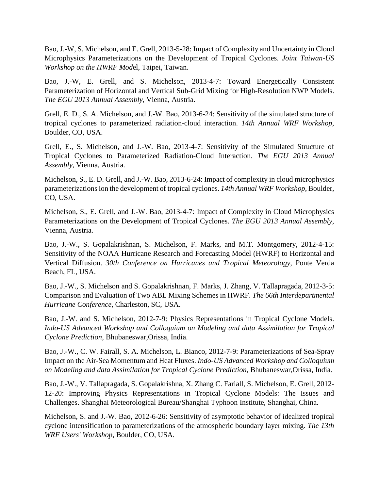Bao, J.-W, S. Michelson, and E. Grell, 2013-5-28: Impact of Complexity and Uncertainty in Cloud Microphysics Parameterizations on the Development of Tropical Cyclones. *Joint Taiwan-US Workshop on the HWRF Mod*el, Taipei, Taiwan.

Bao, J.-W, E. Grell, and S. Michelson, 2013-4-7: Toward Energetically Consistent Parameterization of Horizontal and Vertical Sub-Grid Mixing for High-Resolution NWP Models. *The EGU 2013 Annual Assembly,* Vienna, Austria.

Grell, E. D., S. A. Michelson, and J.-W. Bao, 2013-6-24: Sensitivity of the simulated structure of tropical cyclones to parameterized radiation-cloud interaction. *14th Annual WRF Workshop*, Boulder, CO, USA.

Grell, E., S. Michelson, and J.-W. Bao, 2013-4-7: Sensitivity of the Simulated Structure of Tropical Cyclones to Parameterized Radiation-Cloud Interaction. *The EGU 2013 Annual Assembly*, Vienna, Austria.

Michelson, S., E. D. Grell, and J.-W. Bao, 2013-6-24: Impact of complexity in cloud microphysics parameterizations ion the development of tropical cyclones. *14th Annual WRF Workshop*, Boulder, CO, USA.

Michelson, S., E. Grell, and J.-W. Bao, 2013-4-7: Impact of Complexity in Cloud Microphysics Parameterizations on the Development of Tropical Cyclones. *The EGU 2013 Annual Assembly*, Vienna, Austria.

Bao, J.-W., S. Gopalakrishnan, S. Michelson, F. Marks, and M.T. Montgomery, 2012-4-15: Sensitivity of the NOAA Hurricane Research and Forecasting Model (HWRF) to Horizontal and Vertical Diffusion. *30th Conference on Hurricanes and Tropical Meteorology*, Ponte Verda Beach, FL, USA.

Bao, J.-W., S. Michelson and S. Gopalakrishnan, F. Marks, J. Zhang, V. Tallapragada, 2012-3-5: Comparison and Evaluation of Two ABL Mixing Schemes in HWRF. *The 66th Interdepartmental Hurricane Conference*, Charleston, SC, USA.

Bao, J.-W. and S. Michelson, 2012-7-9: Physics Representations in Tropical Cyclone Models. *Indo-US Advanced Workshop and Colloquium on Modeling and data Assimilation for Tropical Cyclone Prediction*, Bhubaneswar,Orissa, India.

Bao, J.-W., C. W. Fairall, S. A. Michelson, L. Bianco, 2012-7-9: Parameterizations of Sea-Spray Impact on the Air-Sea Momentum and Heat Fluxes. *Indo-US Advanced Workshop and Colloquium on Modeling and data Assimilation for Tropical Cyclone Prediction*, Bhubaneswar,Orissa, India.

Bao, J.-W., V. Tallapragada, S. Gopalakrishna, X. Zhang C. Fariall, S. Michelson, E. Grell, 2012- 12-20: Improving Physics Representations in Tropical Cyclone Models: The Issues and Challenges. Shanghai Meteorological Bureau/Shanghai Typhoon Institute, Shanghai, China.

Michelson, S. and J.-W. Bao, 2012-6-26: Sensitivity of asymptotic behavior of idealized tropical cyclone intensification to parameterizations of the atmospheric boundary layer mixing*. The 13th WRF Users' Workshop*, Boulder, CO, USA.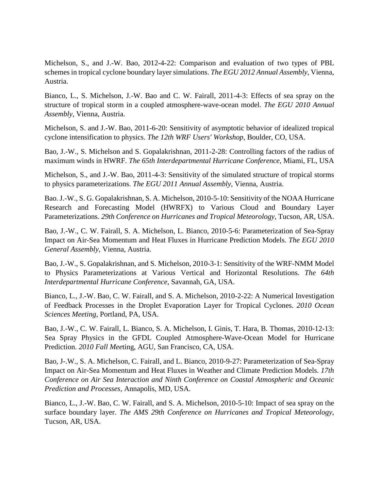Michelson, S., and J.-W. Bao, 2012-4-22: Comparison and evaluation of two types of PBL schemes in tropical cyclone boundary layer simulations. *The EGU 2012 Annual Assembly*, Vienna, Austria.

Bianco, L., S. Michelson, J.-W. Bao and C. W. Fairall, 2011-4-3: Effects of sea spray on the structure of tropical storm in a coupled atmosphere-wave-ocean model. *The EGU 2010 Annual Assembly*, Vienna, Austria.

Michelson, S. and J.-W. Bao, 2011-6-20: Sensitivity of asymptotic behavior of idealized tropical cyclone intensification to physics. *The 12th WRF Users' Workshop*, Boulder, CO, USA.

Bao, J.-W., S. Michelson and S. Gopalakrishnan, 2011-2-28: Controlling factors of the radius of maximum winds in HWRF. *The 65th Interdepartmental Hurricane Conference,* Miami, FL, USA

Michelson, S., and J.-W. Bao, 2011-4-3: Sensitivity of the simulated structure of tropical storms to physics parameterizations. *The EGU 2011 Annual Assembly*, Vienna, Austria.

Bao. J.-W., S. G. Gopalakrishnan, S. A. Michelson, 2010-5-10: Sensitivity of the NOAA Hurricane Research and Forecasting Model (HWRFX) to Various Cloud and Boundary Layer Parameterizations. *29th Conference on Hurricanes and Tropical Meteorology*, Tucson, AR, USA.

Bao, J.-W., C. W. Fairall, S. A. Michelson, L. Bianco, 2010-5-6: Parameterization of Sea-Spray Impact on Air-Sea Momentum and Heat Fluxes in Hurricane Prediction Models. *The EGU 2010 General Assembly*, Vienna, Austria.

Bao, J.-W., S. Gopalakrishnan, and S. Michelson, 2010-3-1: Sensitivity of the WRF-NMM Model to Physics Parameterizations at Various Vertical and Horizontal Resolutions. *The 64th Interdepartmental Hurricane Conference*, Savannah, GA, USA.

Bianco, L., J.-W. Bao, C. W. Fairall, and S. A. Michelson, 2010-2-22: A Numerical Investigation of Feedback Processes in the Droplet Evaporation Layer for Tropical Cyclones. *2010 Ocean Sciences Meeting*, Portland, PA, USA.

Bao, J.-W., C. W. Fairall, L. Bianco, S. A. Michelson, I. Ginis, T. Hara, B. Thomas, 2010-12-13: Sea Spray Physics in the GFDL Coupled Atmosphere-Wave-Ocean Model for Hurricane Prediction. *2010 Fall Mee*ting, AGU, San Francisco, CA, USA.

Bao, J-.W., S. A. Michelson, C. Fairall, and L. Bianco, 2010-9-27: Parameterization of Sea-Spray Impact on Air-Sea Momentum and Heat Fluxes in Weather and Climate Prediction Models. *17th Conference on Air Sea Interaction and Ninth Conference on Coastal Atmospheric and Oceanic Prediction and Processes,* Annapolis, MD, USA.

Bianco, L., J.-W. Bao, C. W. Fairall, and S. A. Michelson, 2010-5-10: Impact of sea spray on the surface boundary layer. *The AMS 29th Conference on Hurricanes and Tropical Meteorology*, Tucson, AR, USA.